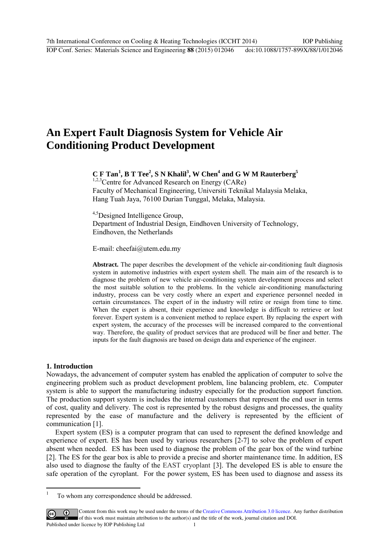# **An Expert Fault Diagnosis System for Vehicle Air Conditioning Product Development**

# **C F Tan[1](#page-0-0) , B T Tee2 , S N Khalil3 , W Chen4 and G W M Rauterberg5**

<sup>1,2,3</sup> Centre for Advanced Research on Energy (CARe) Faculty of Mechanical Engineering, Universiti Teknikal Malaysia Melaka, Hang Tuah Jaya, 76100 Durian Tunggal, Melaka, Malaysia.

<sup>4,5</sup>Designed Intelligence Group, Department of Industrial Design, Eindhoven University of Technology, Eindhoven, the Netherlands

E-mail: cheefai@utem.edu.my

**Abstract.** The paper describes the development of the vehicle air-conditioning fault diagnosis system in automotive industries with expert system shell. The main aim of the research is to diagnose the problem of new vehicle air-conditioning system development process and select the most suitable solution to the problems. In the vehicle air-conditioning manufacturing industry, process can be very costly where an expert and experience personnel needed in certain circumstances. The expert of in the industry will retire or resign from time to time. When the expert is absent, their experience and knowledge is difficult to retrieve or lost forever. Expert system is a convenient method to replace expert. By replacing the expert with expert system, the accuracy of the processes will be increased compared to the conventional way. Therefore, the quality of product services that are produced will be finer and better. The inputs for the fault diagnosis are based on design data and experience of the engineer.

#### **1. Introduction**

Nowadays, the advancement of computer system has enabled the application of computer to solve the engineering problem such as product development problem, line balancing problem, etc. Computer system is able to support the manufacturing industry especially for the production support function. The production support system is includes the internal customers that represent the end user in terms of cost, quality and delivery. The cost is represented by the robust designs and processes, the quality represented by the ease of manufacture and the delivery is represented by the efficient of communication [1].

Expert system (ES) is a computer program that can used to represent the defined knowledge and experience of expert. ES has been used by various researchers [2-7] to solve the problem of expert absent when needed. ES has been used to diagnose the problem of the gear box of the wind turbine [2]. The ES for the gear box is able to provide a precise and shorter maintenance time. In addition, ES also used to diagnose the faulty of the EAST cryoplant [3]. The developed ES is able to ensure the safe operation of the cyroplant. For the power system, ES has been used to diagnose and assess its

<span id="page-0-0"></span> $\overline{\cdot}$ 1 To whom any correspondence should be addressed.

Content from this work may be used under the terms of theCreative Commons Attribution 3.0 licence. Any further distribution  $\vert$  (cc) of this work must maintain attribution to the author(s) and the title of the work, journal citation and DOI. Published under licence by IOP Publishing Ltd 1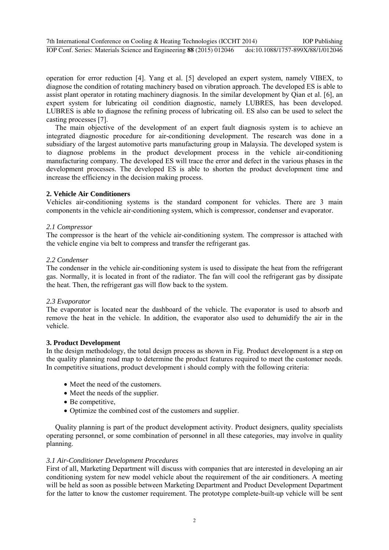operation for error reduction [4]. Yang et al. [5] developed an expert system, namely VIBEX, to diagnose the condition of rotating machinery based on vibration approach. The developed ES is able to assist plant operator in rotating machinery diagnosis. In the similar development by Qian et al. [6], an expert system for lubricating oil condition diagnostic, namely LUBRES, has been developed. LUBRES is able to diagnose the refining process of lubricating oil. ES also can be used to select the casting processes [7].

The main objective of the development of an expert fault diagnosis system is to achieve an integrated diagnostic procedure for air-conditioning development. The research was done in a subsidiary of the largest automotive parts manufacturing group in Malaysia. The developed system is to diagnose problems in the product development process in the vehicle air-conditioning manufacturing company. The developed ES will trace the error and defect in the various phases in the development processes. The developed ES is able to shorten the product development time and increase the efficiency in the decision making process.

# **2. Vehicle Air Conditioners**

Vehicles air-conditioning systems is the standard component for vehicles. There are 3 main components in the vehicle air-conditioning system, which is compressor, condenser and evaporator.

#### *2.1 Compressor*

The compressor is the heart of the vehicle air-conditioning system. The compressor is attached with the vehicle engine via belt to compress and transfer the refrigerant gas.

#### *2.2 Condenser*

The condenser in the vehicle air-conditioning system is used to dissipate the heat from the refrigerant gas. Normally, it is located in front of the radiator. The fan will cool the refrigerant gas by dissipate the heat. Then, the refrigerant gas will flow back to the system.

#### *2.3 Evaporator*

The evaporator is located near the dashboard of the vehicle. The evaporator is used to absorb and remove the heat in the vehicle. In addition, the evaporator also used to dehumidify the air in the vehicle.

#### **3. Product Development**

In the design methodology, the total design process as shown in Fig. Product development is a step on the quality planning road map to determine the product features required to meet the customer needs. In competitive situations, product development i should comply with the following criteria:

- Meet the need of the customers.
- Meet the needs of the supplier.
- Be competitive,
- Optimize the combined cost of the customers and supplier.

Quality planning is part of the product development activity. Product designers, quality specialists operating personnel, or some combination of personnel in all these categories, may involve in quality planning.

#### *3.1 Air-Conditioner Development Procedures*

First of all, Marketing Department will discuss with companies that are interested in developing an air conditioning system for new model vehicle about the requirement of the air conditioners. A meeting will be held as soon as possible between Marketing Department and Product Development Department for the latter to know the customer requirement. The prototype complete-built-up vehicle will be sent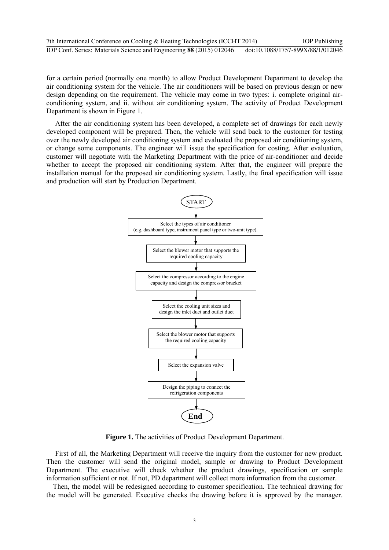for a certain period (normally one month) to allow Product Development Department to develop the air conditioning system for the vehicle. The air conditioners will be based on previous design or new design depending on the requirement. The vehicle may come in two types: i. complete original airconditioning system, and ii. without air conditioning system. The activity of Product Development Department is shown in Figure 1.

After the air conditioning system has been developed, a complete set of drawings for each newly developed component will be prepared. Then, the vehicle will send back to the customer for testing over the newly developed air conditioning system and evaluated the proposed air conditioning system, or change some components. The engineer will issue the specification for costing. After evaluation, customer will negotiate with the Marketing Department with the price of air-conditioner and decide whether to accept the proposed air conditioning system. After that, the engineer will prepare the installation manual for the proposed air conditioning system. Lastly, the final specification will issue and production will start by Production Department.



**Figure 1.** The activities of Product Development Department.

First of all, the Marketing Department will receive the inquiry from the customer for new product. Then the customer will send the original model, sample or drawing to Product Development Department. The executive will check whether the product drawings, specification or sample information sufficient or not. If not, PD department will collect more information from the customer.

Then, the model will be redesigned according to customer specification. The technical drawing for the model will be generated. Executive checks the drawing before it is approved by the manager.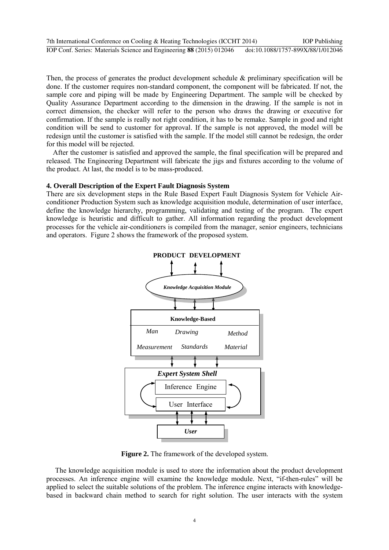Then, the process of generates the product development schedule & preliminary specification will be done. If the customer requires non-standard component, the component will be fabricated. If not, the sample core and piping will be made by Engineering Department. The sample will be checked by Quality Assurance Department according to the dimension in the drawing. If the sample is not in correct dimension, the checker will refer to the person who draws the drawing or executive for confirmation. If the sample is really not right condition, it has to be remake. Sample in good and right condition will be send to customer for approval. If the sample is not approved, the model will be redesign until the customer is satisfied with the sample. If the model still cannot be redesign, the order for this model will be rejected.

After the customer is satisfied and approved the sample, the final specification will be prepared and released. The Engineering Department will fabricate the jigs and fixtures according to the volume of the product. At last, the model is to be mass-produced.

#### **4. Overall Description of the Expert Fault Diagnosis System**

There are six development steps in the Rule Based Expert Fault Diagnosis System for Vehicle Airconditioner Production System such as knowledge acquisition module, determination of user interface, define the knowledge hierarchy, programming, validating and testing of the program. The expert knowledge is heuristic and difficult to gather. All information regarding the product development processes for the vehicle air-conditioners is compiled from the manager, senior engineers, technicians and operators. Figure 2 shows the framework of the proposed system.



**Figure 2.** The framework of the developed system.

The knowledge acquisition module is used to store the information about the product development processes. An inference engine will examine the knowledge module. Next, "if-then-rules" will be applied to select the suitable solutions of the problem. The inference engine interacts with knowledgebased in backward chain method to search for right solution. The user interacts with the system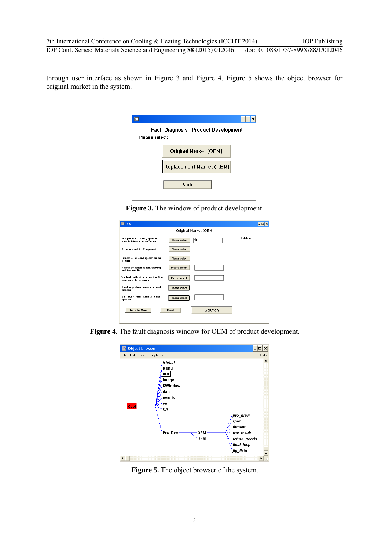through user interface as shown in Figure 3 and Figure 4. Figure 5 shows the object browser for original market in the system.

| <b>Fault Diagnosis: Product Development</b><br>Please select: |                          |  |  |
|---------------------------------------------------------------|--------------------------|--|--|
|                                                               |                          |  |  |
|                                                               | Original Market (OEM)    |  |  |
|                                                               | Replacement Market (REM) |  |  |
|                                                               | <b>Back</b>              |  |  |
|                                                               |                          |  |  |

**Figure 3.** The window of product development.

| 图 OEM                                                                                    |                |  |
|------------------------------------------------------------------------------------------|----------------|--|
| Original Market (OEM)                                                                    |                |  |
| Are product drawing, spec. or<br><b>Please select</b><br>sample information sufficient?  | Solution<br>No |  |
| <b>Please select</b><br>Schedule and Kit Component.                                      |                |  |
| Fitment of air-cond system on the<br><b>Please select</b><br>vehicle                     |                |  |
| <b>Please select</b><br>Peliminary specification, drawing<br>and test results            |                |  |
| Vechicle with air-cond system fittes<br><b>Please select</b><br>is returned to customer. |                |  |
| Final inspection preparation and<br><b>Please select</b><br>release                      |                |  |
| Jigs and fistures fabrication and<br><b>Please select</b><br>gauges.                     |                |  |
| <b>Back to Main</b><br><b>Reset</b>                                                      | Solution       |  |
|                                                                                          |                |  |

**Figure 4.** The fault diagnosis window for OEM of product development.



**Figure 5.** The object browser of the system.